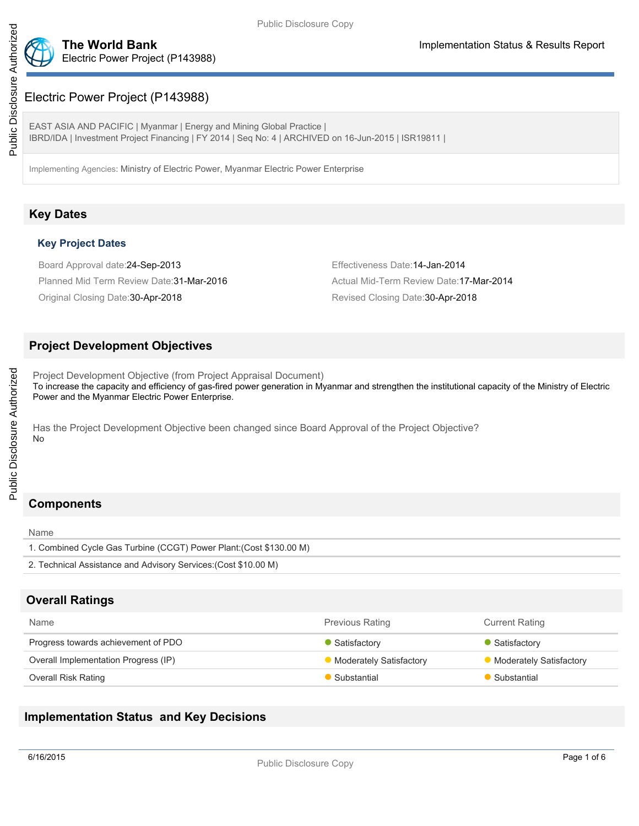

## Electric Power Project (P143988)

EAST ASIA AND PACIFIC | Myanmar | Energy and Mining Global Practice | IBRD/IDA | Investment Project Financing | FY 2014 | Seq No: 4 | ARCHIVED on 16-Jun-2015 | ISR19811 |

Implementing Agencies: Ministry of Electric Power, Myanmar Electric Power Enterprise

## **Key Dates**

### **Key Project Dates**

Board Approval date:24-Sep-2013 Effectiveness Date:14-Jan-2014 Planned Mid Term Review Date: 31-Mar-2016 Actual Mid-Term Review Date: 17-Mar-2014

Original Closing Date: 30-Apr-2018 **Accord Closing Date: 30-Apr-2018** Revised Closing Date: 30-Apr-2018

## **Project Development Objectives**

Project Development Objective (from Project Appraisal Document) To increase the capacity and efficiency of gas-fired power generation in Myanmar and strengthen the institutional capacity of the Ministry of Electric Power and the Myanmar Electric Power Enterprise.

Has the Project Development Objective been changed since Board Approval of the Project Objective? No

## **Components**

Name

1. Combined Cycle Gas Turbine (CCGT) Power Plant:(Cost \$130.00 M) 2. Technical Assistance and Advisory Services:(Cost \$10.00 M)

## **Overall Ratings**

| Name                                 | <b>Previous Rating</b>         | <b>Current Rating</b>          |
|--------------------------------------|--------------------------------|--------------------------------|
| Progress towards achievement of PDO  | Satisfactory                   | Satisfactory                   |
| Overall Implementation Progress (IP) | <b>Moderately Satisfactory</b> | <b>Moderately Satisfactory</b> |
| Overall Risk Rating                  | Substantial                    | Substantial                    |

## **Implementation Status and Key Decisions**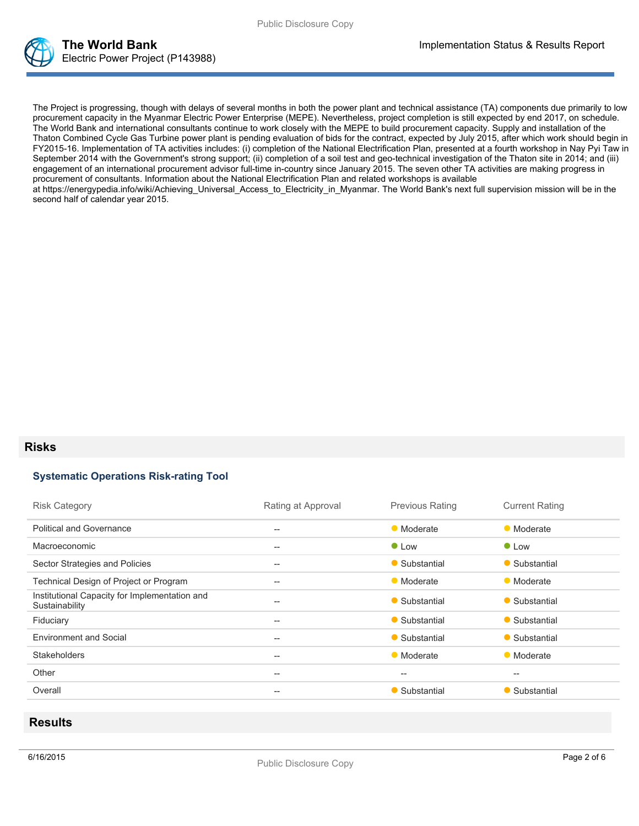

The Project is progressing, though with delays of several months in both the power plant and technical assistance (TA) components due primarily to low procurement capacity in the Myanmar Electric Power Enterprise (MEPE). Nevertheless, project completion is still expected by end 2017, on schedule. The World Bank and international consultants continue to work closely with the MEPE to build procurement capacity. Supply and installation of the Thaton Combined Cycle Gas Turbine power plant is pending evaluation of bids for the contract, expected by July 2015, after which work should begin in FY2015-16. Implementation of TA activities includes: (i) completion of the National Electrification Plan, presented at a fourth workshop in Nay Pyi Taw in September 2014 with the Government's strong support; (ii) completion of a soil test and geo-technical investigation of the Thaton site in 2014; and (iii) engagement of an international procurement advisor full-time in-country since January 2015. The seven other TA activities are making progress in procurement of consultants. Information about the National Electrification Plan and related workshops is available at https://energypedia.info/wiki/Achieving\_Universal\_Access\_to\_Electricity\_in\_Myanmar. The World Bank's next full supervision mission will be in the second half of calendar year 2015.

### **Risks**

#### **Systematic Operations Risk-rating Tool**

| <b>Risk Category</b>                                            | Rating at Approval                                  | <b>Previous Rating</b> | <b>Current Rating</b> |
|-----------------------------------------------------------------|-----------------------------------------------------|------------------------|-----------------------|
| <b>Political and Governance</b>                                 | $- -$                                               | • Moderate             | • Moderate            |
| Macroeconomic                                                   | $- -$                                               | $\bullet$ Low          | $\bullet$ Low         |
| Sector Strategies and Policies                                  | $- -$                                               | • Substantial          | • Substantial         |
| Technical Design of Project or Program                          | $\hspace{0.05cm} -\hspace{0.05cm} -\hspace{0.05cm}$ | • Moderate             | • Moderate            |
| Institutional Capacity for Implementation and<br>Sustainability | $- -$                                               | • Substantial          | • Substantial         |
| Fiduciary                                                       | --                                                  | • Substantial          | • Substantial         |
| <b>Environment and Social</b>                                   | $- -$                                               | • Substantial          | • Substantial         |
| <b>Stakeholders</b>                                             | --                                                  | • Moderate             | • Moderate            |
| Other                                                           | $- -$                                               | $- -$                  | $- -$                 |
| Overall                                                         | --                                                  | • Substantial          | • Substantial         |

### **Results**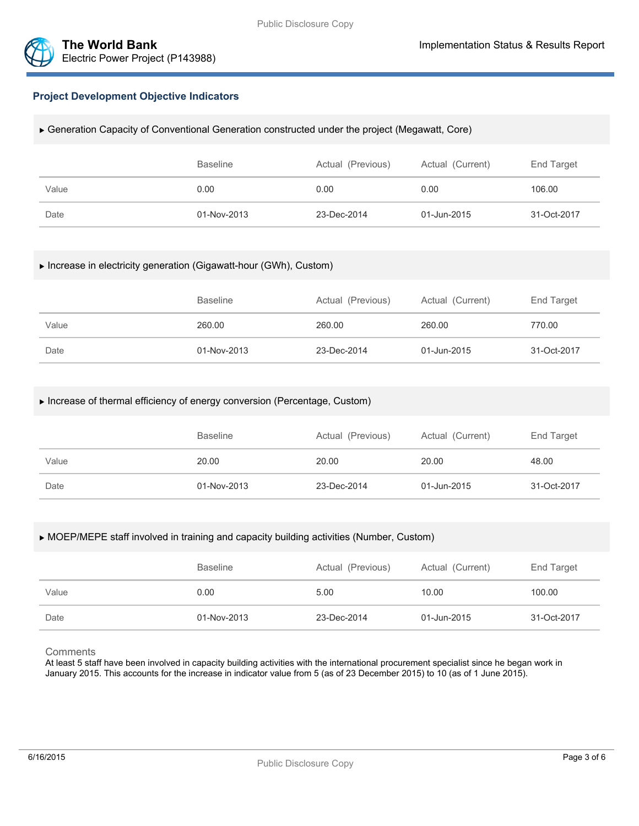



### **Project Development Objective Indicators**

#### Generation Capacity of Conventional Generation constructed under the project (Megawatt, Core)

|       | <b>Baseline</b> | Actual (Previous) | Actual (Current) | End Target  |
|-------|-----------------|-------------------|------------------|-------------|
| Value | 0.00            | 0.00              | 0.00             | 106.00      |
| Date  | 01-Nov-2013     | 23-Dec-2014       | 01-Jun-2015      | 31-Oct-2017 |

#### Increase in electricity generation (Gigawatt-hour (GWh), Custom)

|       | <b>Baseline</b> | Actual (Previous) | Actual (Current) | End Target  |  |
|-------|-----------------|-------------------|------------------|-------------|--|
| Value | 260.00          | 260.00            | 260.00           | 770.00      |  |
| Date  | 01-Nov-2013     | 23-Dec-2014       | 01-Jun-2015      | 31-Oct-2017 |  |

#### Increase of thermal efficiency of energy conversion (Percentage, Custom)

|       | <b>Baseline</b> | Actual (Previous) | Actual (Current) | End Target  |
|-------|-----------------|-------------------|------------------|-------------|
| Value | 20.00           | 20.00             | 20.00            | 48.00       |
| Date  | 01-Nov-2013     | 23-Dec-2014       | 01-Jun-2015      | 31-Oct-2017 |

#### MOEP/MEPE staff involved in training and capacity building activities (Number, Custom)

|       | <b>Baseline</b> | Actual (Previous) | Actual (Current) | End Target  |
|-------|-----------------|-------------------|------------------|-------------|
| Value | 0.00            | 5.00              | 10.00            | 100.00      |
| Date  | 01-Nov-2013     | 23-Dec-2014       | 01-Jun-2015      | 31-Oct-2017 |

**Comments** 

At least 5 staff have been involved in capacity building activities with the international procurement specialist since he began work in January 2015. This accounts for the increase in indicator value from 5 (as of 23 December 2015) to 10 (as of 1 June 2015).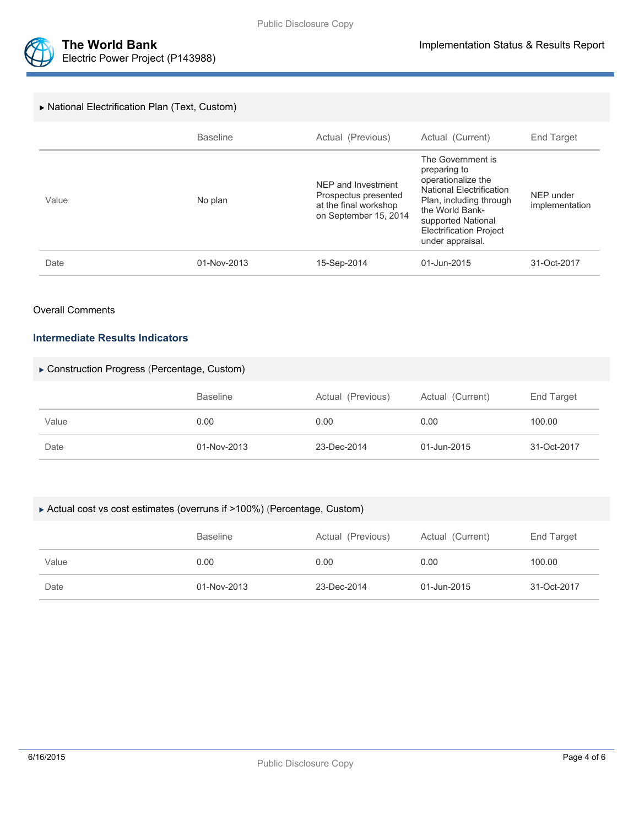

#### National Electrification Plan (Text, Custom)

|       | <b>Baseline</b> | Actual (Previous)                                                                            | Actual (Current)                                                                                                                                                                                                     | End Target                  |
|-------|-----------------|----------------------------------------------------------------------------------------------|----------------------------------------------------------------------------------------------------------------------------------------------------------------------------------------------------------------------|-----------------------------|
| Value | No plan         | NEP and Investment<br>Prospectus presented<br>at the final workshop<br>on September 15, 2014 | The Government is<br>preparing to<br>operationalize the<br><b>National Electrification</b><br>Plan, including through<br>the World Bank-<br>supported National<br><b>Electrification Project</b><br>under appraisal. | NEP under<br>implementation |
| Date  | 01-Nov-2013     | 15-Sep-2014                                                                                  | 01-Jun-2015                                                                                                                                                                                                          | 31-Oct-2017                 |

#### Overall Comments

#### **Intermediate Results Indicators**

#### Construction Progress (Percentage, Custom)

|       | <b>Baseline</b> | Actual (Previous) | Actual (Current) | End Target  |
|-------|-----------------|-------------------|------------------|-------------|
| Value | 0.00            | 0.00              | 0.00             | 100.00      |
| Date  | 01-Nov-2013     | 23-Dec-2014       | 01-Jun-2015      | 31-Oct-2017 |

#### Actual cost vs cost estimates (overruns if >100%) (Percentage, Custom)

|       | <b>Baseline</b> | Actual (Previous) | Actual (Current) | End Target  |
|-------|-----------------|-------------------|------------------|-------------|
| Value | 0.00            | 0.00              | 0.00             | 100.00      |
| Date  | 01-Nov-2013     | 23-Dec-2014       | 01-Jun-2015      | 31-Oct-2017 |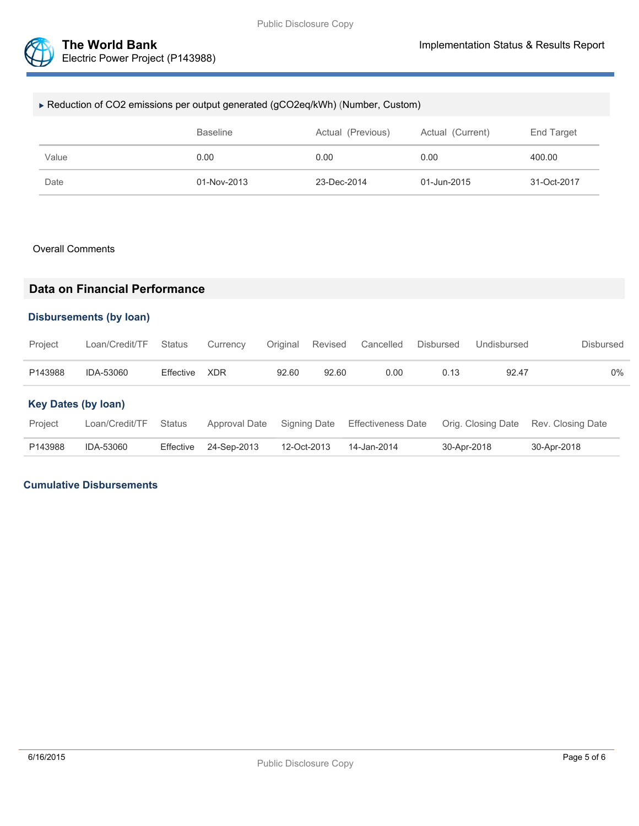

| ► Reduction of CO2 emissions per output generated (gCO2eq/kWh) (Number, Custom) |      |      |      |        |  |  |  |
|---------------------------------------------------------------------------------|------|------|------|--------|--|--|--|
| <b>Baseline</b><br>Actual (Previous)<br>Actual (Current)<br>End Target          |      |      |      |        |  |  |  |
| Value                                                                           | 0.00 | 0.00 | 0.00 | 400.00 |  |  |  |
| 01-Nov-2013<br>23-Dec-2014<br>01-Jun-2015<br>31-Oct-2017<br>Date                |      |      |      |        |  |  |  |

#### Overall Comments

## **Data on Financial Performance**

#### **Disbursements (by loan)**

| Project                    | Loan/Credit/TF | <b>Status</b> | Currency      | Original    | Revised      | Cancelled                 | <b>Disbursed</b> | Undisbursed        | <b>Disbursed</b>  |
|----------------------------|----------------|---------------|---------------|-------------|--------------|---------------------------|------------------|--------------------|-------------------|
| P143988                    | IDA-53060      | Effective     | <b>XDR</b>    | 92.60       | 92.60        | 0.00                      | 0.13             | 92.47              | 0%                |
| <b>Key Dates (by loan)</b> |                |               |               |             |              |                           |                  |                    |                   |
| Project                    | Loan/Credit/TF | <b>Status</b> | Approval Date |             | Signing Date | <b>Effectiveness Date</b> |                  | Orig. Closing Date | Rev. Closing Date |
| P143988                    | IDA-53060      | Effective     | 24-Sep-2013   | 12-Oct-2013 |              | 14-Jan-2014               | 30-Apr-2018      |                    | 30-Apr-2018       |

### **Cumulative Disbursements**